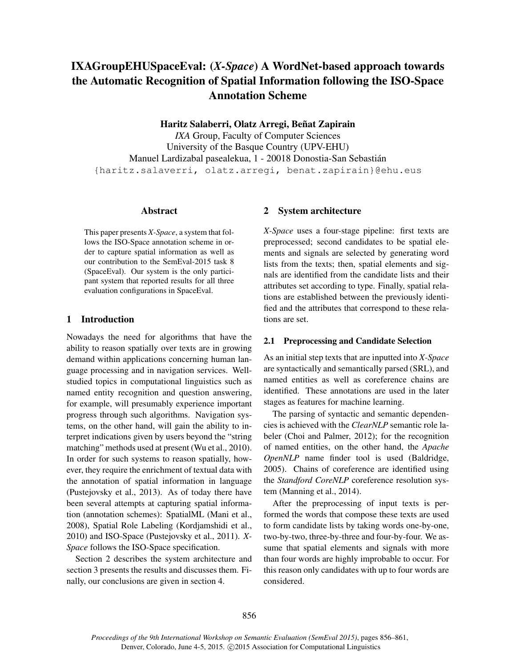# IXAGroupEHUSpaceEval: (*X-Space*) A WordNet-based approach towards the Automatic Recognition of Spatial Information following the ISO-Space Annotation Scheme

Haritz Salaberri, Olatz Arregi, Beñat Zapirain

*IXA* Group, Faculty of Computer Sciences University of the Basque Country (UPV-EHU) Manuel Lardizabal pasealekua, 1 - 20018 Donostia-San Sebastián {haritz.salaverri, olatz.arregi, benat.zapirain}@ehu.eus

#### Abstract

This paper presents *X-Space*, a system that follows the ISO-Space annotation scheme in order to capture spatial information as well as our contribution to the SemEval-2015 task 8 (SpaceEval). Our system is the only participant system that reported results for all three evaluation configurations in SpaceEval.

## 1 Introduction

Nowadays the need for algorithms that have the ability to reason spatially over texts are in growing demand within applications concerning human language processing and in navigation services. Wellstudied topics in computational linguistics such as named entity recognition and question answering, for example, will presumably experience important progress through such algorithms. Navigation systems, on the other hand, will gain the ability to interpret indications given by users beyond the "string matching" methods used at present (Wu et al., 2010). In order for such systems to reason spatially, however, they require the enrichment of textual data with the annotation of spatial information in language (Pustejovsky et al., 2013). As of today there have been several attempts at capturing spatial information (annotation schemes): SpatialML (Mani et al., 2008), Spatial Role Labeling (Kordjamshidi et al., 2010) and ISO-Space (Pustejovsky et al., 2011). *X-Space* follows the ISO-Space specification.

Section 2 describes the system architecture and section 3 presents the results and discusses them. Finally, our conclusions are given in section 4.

#### 2 System architecture

*X-Space* uses a four-stage pipeline: first texts are preprocessed; second candidates to be spatial elements and signals are selected by generating word lists from the texts; then, spatial elements and signals are identified from the candidate lists and their attributes set according to type. Finally, spatial relations are established between the previously identified and the attributes that correspond to these relations are set.

#### 2.1 Preprocessing and Candidate Selection

As an initial step texts that are inputted into *X-Space* are syntactically and semantically parsed (SRL), and named entities as well as coreference chains are identified. These annotations are used in the later stages as features for machine learning.

The parsing of syntactic and semantic dependencies is achieved with the *ClearNLP* semantic role labeler (Choi and Palmer, 2012); for the recognition of named entities, on the other hand, the *Apache OpenNLP* name finder tool is used (Baldridge, 2005). Chains of coreference are identified using the *Standford CoreNLP* coreference resolution system (Manning et al., 2014).

After the preprocessing of input texts is performed the words that compose these texts are used to form candidate lists by taking words one-by-one, two-by-two, three-by-three and four-by-four. We assume that spatial elements and signals with more than four words are highly improbable to occur. For this reason only candidates with up to four words are considered.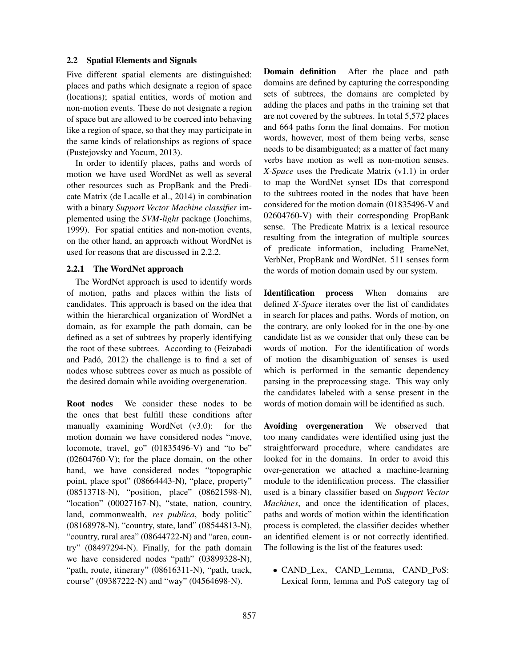#### 2.2 Spatial Elements and Signals

Five different spatial elements are distinguished: places and paths which designate a region of space (locations); spatial entities, words of motion and non-motion events. These do not designate a region of space but are allowed to be coerced into behaving like a region of space, so that they may participate in the same kinds of relationships as regions of space (Pustejovsky and Yocum, 2013).

In order to identify places, paths and words of motion we have used WordNet as well as several other resources such as PropBank and the Predicate Matrix (de Lacalle et al., 2014) in combination with a binary *Support Vector Machine classifier* implemented using the *SVM-light* package (Joachims, 1999). For spatial entities and non-motion events, on the other hand, an approach without WordNet is used for reasons that are discussed in 2.2.2.

#### 2.2.1 The WordNet approach

The WordNet approach is used to identify words of motion, paths and places within the lists of candidates. This approach is based on the idea that within the hierarchical organization of WordNet a domain, as for example the path domain, can be defined as a set of subtrees by properly identifying the root of these subtrees. According to (Feizabadi and Padó, 2012) the challenge is to find a set of nodes whose subtrees cover as much as possible of the desired domain while avoiding overgeneration.

Root nodes We consider these nodes to be the ones that best fulfill these conditions after manually examining WordNet (v3.0): for the motion domain we have considered nodes "move, locomote, travel, go" (01835496-V) and "to be" (02604760-V); for the place domain, on the other hand, we have considered nodes "topographic point, place spot" (08664443-N), "place, property" (08513718-N), "position, place" (08621598-N), "location" (00027167-N), "state, nation, country, land, commonwealth, *res publica*, body politic" (08168978-N), "country, state, land" (08544813-N), "country, rural area" (08644722-N) and "area, country" (08497294-N). Finally, for the path domain we have considered nodes "path" (03899328-N), "path, route, itinerary" (08616311-N), "path, track, course" (09387222-N) and "way" (04564698-N).

Domain definition After the place and path domains are defined by capturing the corresponding sets of subtrees, the domains are completed by adding the places and paths in the training set that are not covered by the subtrees. In total 5,572 places and 664 paths form the final domains. For motion words, however, most of them being verbs, sense needs to be disambiguated; as a matter of fact many verbs have motion as well as non-motion senses. *X-Space* uses the Predicate Matrix (v1.1) in order to map the WordNet synset IDs that correspond to the subtrees rooted in the nodes that have been considered for the motion domain (01835496-V and 02604760-V) with their corresponding PropBank sense. The Predicate Matrix is a lexical resource resulting from the integration of multiple sources of predicate information, including FrameNet, VerbNet, PropBank and WordNet. 511 senses form the words of motion domain used by our system.

Identification process When domains are defined *X-Space* iterates over the list of candidates in search for places and paths. Words of motion, on the contrary, are only looked for in the one-by-one candidate list as we consider that only these can be words of motion. For the identification of words of motion the disambiguation of senses is used which is performed in the semantic dependency parsing in the preprocessing stage. This way only the candidates labeled with a sense present in the words of motion domain will be identified as such.

Avoiding overgeneration We observed that too many candidates were identified using just the straightforward procedure, where candidates are looked for in the domains. In order to avoid this over-generation we attached a machine-learning module to the identification process. The classifier used is a binary classifier based on *Support Vector Machines*, and once the identification of places, paths and words of motion within the identification process is completed, the classifier decides whether an identified element is or not correctly identified. The following is the list of the features used:

• CAND\_Lex, CAND\_Lemma, CAND\_PoS: Lexical form, lemma and PoS category tag of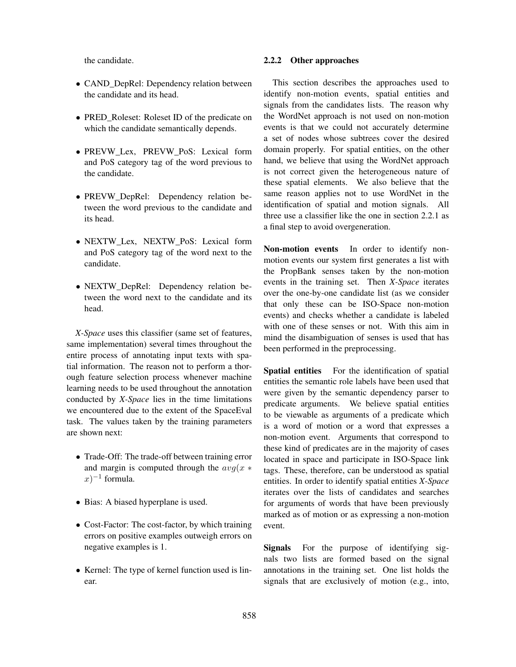the candidate.

- CAND\_DepRel: Dependency relation between the candidate and its head.
- PRED Roleset: Roleset ID of the predicate on which the candidate semantically depends.
- PREVW\_Lex, PREVW\_PoS: Lexical form and PoS category tag of the word previous to the candidate.
- PREVW\_DepRel: Dependency relation between the word previous to the candidate and its head.
- NEXTW\_Lex, NEXTW\_PoS: Lexical form and PoS category tag of the word next to the candidate.
- NEXTW\_DepRel: Dependency relation between the word next to the candidate and its head.

*X-Space* uses this classifier (same set of features, same implementation) several times throughout the entire process of annotating input texts with spatial information. The reason not to perform a thorough feature selection process whenever machine learning needs to be used throughout the annotation conducted by *X-Space* lies in the time limitations we encountered due to the extent of the SpaceEval task. The values taken by the training parameters are shown next:

- Trade-Off: The trade-off between training error and margin is computed through the  $avg(x *$  $(x)^{-1}$  formula.
- Bias: A biased hyperplane is used.
- Cost-Factor: The cost-factor, by which training errors on positive examples outweigh errors on negative examples is 1.
- Kernel: The type of kernel function used is linear.

## 2.2.2 Other approaches

This section describes the approaches used to identify non-motion events, spatial entities and signals from the candidates lists. The reason why the WordNet approach is not used on non-motion events is that we could not accurately determine a set of nodes whose subtrees cover the desired domain properly. For spatial entities, on the other hand, we believe that using the WordNet approach is not correct given the heterogeneous nature of these spatial elements. We also believe that the same reason applies not to use WordNet in the identification of spatial and motion signals. All three use a classifier like the one in section 2.2.1 as a final step to avoid overgeneration.

Non-motion events In order to identify nonmotion events our system first generates a list with the PropBank senses taken by the non-motion events in the training set. Then *X-Space* iterates over the one-by-one candidate list (as we consider that only these can be ISO-Space non-motion events) and checks whether a candidate is labeled with one of these senses or not. With this aim in mind the disambiguation of senses is used that has been performed in the preprocessing.

Spatial entities For the identification of spatial entities the semantic role labels have been used that were given by the semantic dependency parser to predicate arguments. We believe spatial entities to be viewable as arguments of a predicate which is a word of motion or a word that expresses a non-motion event. Arguments that correspond to these kind of predicates are in the majority of cases located in space and participate in ISO-Space link tags. These, therefore, can be understood as spatial entities. In order to identify spatial entities *X-Space* iterates over the lists of candidates and searches for arguments of words that have been previously marked as of motion or as expressing a non-motion event.

Signals For the purpose of identifying signals two lists are formed based on the signal annotations in the training set. One list holds the signals that are exclusively of motion (e.g., into,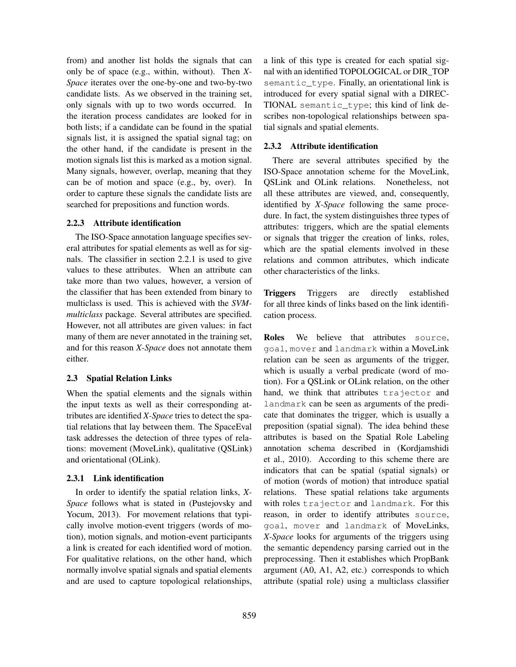from) and another list holds the signals that can only be of space (e.g., within, without). Then *X-Space* iterates over the one-by-one and two-by-two candidate lists. As we observed in the training set, only signals with up to two words occurred. In the iteration process candidates are looked for in both lists; if a candidate can be found in the spatial signals list, it is assigned the spatial signal tag; on the other hand, if the candidate is present in the motion signals list this is marked as a motion signal. Many signals, however, overlap, meaning that they can be of motion and space (e.g., by, over). In order to capture these signals the candidate lists are searched for prepositions and function words.

#### 2.2.3 Attribute identification

The ISO-Space annotation language specifies several attributes for spatial elements as well as for signals. The classifier in section 2.2.1 is used to give values to these attributes. When an attribute can take more than two values, however, a version of the classifier that has been extended from binary to multiclass is used. This is achieved with the *SVMmulticlass* package. Several attributes are specified. However, not all attributes are given values: in fact many of them are never annotated in the training set, and for this reason *X-Space* does not annotate them either.

## 2.3 Spatial Relation Links

When the spatial elements and the signals within the input texts as well as their corresponding attributes are identified *X-Space* tries to detect the spatial relations that lay between them. The SpaceEval task addresses the detection of three types of relations: movement (MoveLink), qualitative (QSLink) and orientational (OLink).

## 2.3.1 Link identification

In order to identify the spatial relation links, *X-Space* follows what is stated in (Pustejovsky and Yocum, 2013). For movement relations that typically involve motion-event triggers (words of motion), motion signals, and motion-event participants a link is created for each identified word of motion. For qualitative relations, on the other hand, which normally involve spatial signals and spatial elements and are used to capture topological relationships,

a link of this type is created for each spatial signal with an identified TOPOLOGICAL or DIR\_TOP semantic\_type. Finally, an orientational link is introduced for every spatial signal with a DIREC-TIONAL semantic\_type; this kind of link describes non-topological relationships between spatial signals and spatial elements.

# 2.3.2 Attribute identification

There are several attributes specified by the ISO-Space annotation scheme for the MoveLink, QSLink and OLink relations. Nonetheless, not all these attributes are viewed, and, consequently, identified by *X-Space* following the same procedure. In fact, the system distinguishes three types of attributes: triggers, which are the spatial elements or signals that trigger the creation of links, roles, which are the spatial elements involved in these relations and common attributes, which indicate other characteristics of the links.

Triggers Triggers are directly established for all three kinds of links based on the link identification process.

Roles We believe that attributes source, goal, mover and landmark within a MoveLink relation can be seen as arguments of the trigger, which is usually a verbal predicate (word of motion). For a QSLink or OLink relation, on the other hand, we think that attributes trajector and landmark can be seen as arguments of the predicate that dominates the trigger, which is usually a preposition (spatial signal). The idea behind these attributes is based on the Spatial Role Labeling annotation schema described in (Kordjamshidi et al., 2010). According to this scheme there are indicators that can be spatial (spatial signals) or of motion (words of motion) that introduce spatial relations. These spatial relations take arguments with roles trajector and landmark. For this reason, in order to identify attributes source, goal, mover and landmark of MoveLinks, *X-Space* looks for arguments of the triggers using the semantic dependency parsing carried out in the preprocessing. Then it establishes which PropBank argument (A0, A1, A2, etc.) corresponds to which attribute (spatial role) using a multiclass classifier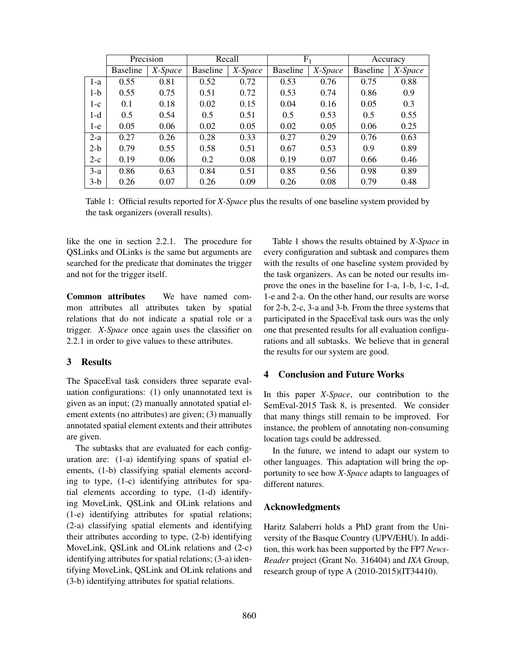|       | Precision       |         | Recall          |         | $F_1$           |         | Accuracy        |         |
|-------|-----------------|---------|-----------------|---------|-----------------|---------|-----------------|---------|
|       | <b>Baseline</b> | X-Space | <b>Baseline</b> | X-Space | <b>Baseline</b> | X-Space | <b>Baseline</b> | X-Space |
| $1-a$ | 0.55            | 0.81    | 0.52            | 0.72    | 0.53            | 0.76    | 0.75            | 0.88    |
| 1-b   | 0.55            | 0.75    | 0.51            | 0.72    | 0.53            | 0.74    | 0.86            | 0.9     |
| $1-c$ | 0.1             | 0.18    | 0.02            | 0.15    | 0.04            | 0.16    | 0.05            | 0.3     |
| 1-d   | 0.5             | 0.54    | 0.5             | 0.51    | 0.5             | 0.53    | 0.5             | 0.55    |
| 1-e   | 0.05            | 0.06    | 0.02            | 0.05    | 0.02            | 0.05    | 0.06            | 0.25    |
| $2-a$ | 0.27            | 0.26    | 0.28            | 0.33    | 0.27            | 0.29    | 0.76            | 0.63    |
| $2-b$ | 0.79            | 0.55    | 0.58            | 0.51    | 0.67            | 0.53    | 0.9             | 0.89    |
| $2-c$ | 0.19            | 0.06    | 0.2             | 0.08    | 0.19            | 0.07    | 0.66            | 0.46    |
| $3-a$ | 0.86            | 0.63    | 0.84            | 0.51    | 0.85            | 0.56    | 0.98            | 0.89    |
| $3-b$ | 0.26            | 0.07    | 0.26            | 0.09    | 0.26            | 0.08    | 0.79            | 0.48    |

Table 1: Official results reported for *X-Space* plus the results of one baseline system provided by the task organizers (overall results).

like the one in section 2.2.1. The procedure for QSLinks and OLinks is the same but arguments are searched for the predicate that dominates the trigger and not for the trigger itself.

Common attributes We have named common attributes all attributes taken by spatial relations that do not indicate a spatial role or a trigger. *X-Space* once again uses the classifier on 2.2.1 in order to give values to these attributes.

#### 3 Results

The SpaceEval task considers three separate evaluation configurations: (1) only unannotated text is given as an input; (2) manually annotated spatial element extents (no attributes) are given; (3) manually annotated spatial element extents and their attributes are given.

The subtasks that are evaluated for each configuration are: (1-a) identifying spans of spatial elements, (1-b) classifying spatial elements according to type, (1-c) identifying attributes for spatial elements according to type, (1-d) identifying MoveLink, QSLink and OLink relations and (1-e) identifying attributes for spatial relations; (2-a) classifying spatial elements and identifying their attributes according to type, (2-b) identifying MoveLink, QSLink and OLink relations and (2-c) identifying attributes for spatial relations; (3-a) identifying MoveLink, QSLink and OLink relations and (3-b) identifying attributes for spatial relations.

Table 1 shows the results obtained by *X-Space* in every configuration and subtask and compares them with the results of one baseline system provided by the task organizers. As can be noted our results improve the ones in the baseline for 1-a, 1-b, 1-c, 1-d, 1-e and 2-a. On the other hand, our results are worse for 2-b, 2-c, 3-a and 3-b. From the three systems that participated in the SpaceEval task ours was the only one that presented results for all evaluation configurations and all subtasks. We believe that in general the results for our system are good.

## 4 Conclusion and Future Works

In this paper *X-Space*, our contribution to the SemEval-2015 Task 8, is presented. We consider that many things still remain to be improved. For instance, the problem of annotating non-consuming location tags could be addressed.

In the future, we intend to adapt our system to other languages. This adaptation will bring the opportunity to see how *X-Space* adapts to languages of different natures.

#### Acknowledgments

Haritz Salaberri holds a PhD grant from the University of the Basque Country (UPV/EHU). In addition, this work has been supported by the FP7 *News-Reader* project (Grant No. 316404) and *IXA* Group, research group of type A (2010-2015)(IT34410).